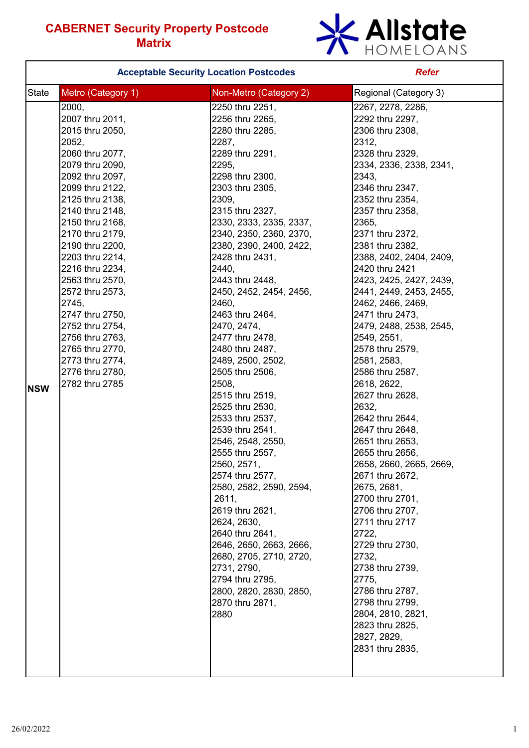

|            |                                                                                                                                                                                                                                                                                                                                                                                                                                                          | <b>Acceptable Security Location Postcodes</b>                                                                                                                                                                                                                                                                                                                                                                                                                                                                                                                                                                                                                                                                                                                                                                                                          | <b>Refer</b>                                                                                                                                                                                                                                                                                                                                                                                                                                                                                                                                                                                                                                                                                                                                                                                                                                                         |
|------------|----------------------------------------------------------------------------------------------------------------------------------------------------------------------------------------------------------------------------------------------------------------------------------------------------------------------------------------------------------------------------------------------------------------------------------------------------------|--------------------------------------------------------------------------------------------------------------------------------------------------------------------------------------------------------------------------------------------------------------------------------------------------------------------------------------------------------------------------------------------------------------------------------------------------------------------------------------------------------------------------------------------------------------------------------------------------------------------------------------------------------------------------------------------------------------------------------------------------------------------------------------------------------------------------------------------------------|----------------------------------------------------------------------------------------------------------------------------------------------------------------------------------------------------------------------------------------------------------------------------------------------------------------------------------------------------------------------------------------------------------------------------------------------------------------------------------------------------------------------------------------------------------------------------------------------------------------------------------------------------------------------------------------------------------------------------------------------------------------------------------------------------------------------------------------------------------------------|
| State      | Metro (Category 1)                                                                                                                                                                                                                                                                                                                                                                                                                                       | Non-Metro (Category 2)                                                                                                                                                                                                                                                                                                                                                                                                                                                                                                                                                                                                                                                                                                                                                                                                                                 | Regional (Category 3)                                                                                                                                                                                                                                                                                                                                                                                                                                                                                                                                                                                                                                                                                                                                                                                                                                                |
| <b>NSW</b> | 2000,<br>2007 thru 2011,<br>2015 thru 2050,<br>2052,<br>2060 thru 2077,<br>2079 thru 2090,<br>2092 thru 2097,<br>2099 thru 2122,<br>2125 thru 2138,<br>2140 thru 2148,<br>2150 thru 2168,<br>2170 thru 2179,<br>2190 thru 2200,<br>2203 thru 2214,<br>2216 thru 2234,<br>2563 thru 2570,<br>2572 thru 2573,<br>2745,<br>2747 thru 2750,<br>2752 thru 2754,<br>2756 thru 2763,<br>2765 thru 2770,<br>2773 thru 2774,<br>2776 thru 2780,<br>2782 thru 2785 | 2250 thru 2251,<br>2256 thru 2265,<br>2280 thru 2285,<br>2287,<br>2289 thru 2291,<br>2295,<br>2298 thru 2300,<br>2303 thru 2305,<br>2309,<br>2315 thru 2327,<br>2330, 2333, 2335, 2337,<br>2340, 2350, 2360, 2370,<br>2380, 2390, 2400, 2422,<br>2428 thru 2431,<br>2440,<br>2443 thru 2448,<br>2450, 2452, 2454, 2456,<br>2460,<br>2463 thru 2464,<br>2470, 2474,<br>2477 thru 2478,<br>2480 thru 2487,<br>2489, 2500, 2502,<br>2505 thru 2506,<br>2508,<br>2515 thru 2519,<br>2525 thru 2530,<br>2533 thru 2537,<br>2539 thru 2541,<br>2546, 2548, 2550,<br>2555 thru 2557,<br>2560, 2571,<br>2574 thru 2577,<br>2580, 2582, 2590, 2594,<br>2611,<br>2619 thru 2621,<br>2624, 2630,<br>2640 thru 2641,<br>2646, 2650, 2663, 2666,<br>2680, 2705, 2710, 2720,<br>2731, 2790,<br>2794 thru 2795,<br>2800, 2820, 2830, 2850,<br>2870 thru 2871,<br>2880 | 2267, 2278, 2286,<br>2292 thru 2297,<br>2306 thru 2308,<br>2312,<br>2328 thru 2329,<br>2334, 2336, 2338, 2341,<br>2343,<br>2346 thru 2347,<br>2352 thru 2354,<br>2357 thru 2358,<br>2365,<br>2371 thru 2372,<br>2381 thru 2382,<br>2388, 2402, 2404, 2409,<br>2420 thru 2421<br>2423, 2425, 2427, 2439,<br>2441, 2449, 2453, 2455,<br>2462, 2466, 2469,<br>2471 thru 2473,<br>2479, 2488, 2538, 2545,<br>2549, 2551,<br>2578 thru 2579,<br>2581, 2583,<br>2586 thru 2587,<br>2618, 2622,<br>2627 thru 2628,<br>2632,<br>2642 thru 2644,<br>2647 thru 2648,<br>2651 thru 2653,<br>2655 thru 2656,<br>2658, 2660, 2665, 2669,<br>2671 thru 2672,<br>2675, 2681,<br>2700 thru 2701,<br>2706 thru 2707,<br>2711 thru 2717<br>2722,<br>2729 thru 2730,<br>2732,<br>2738 thru 2739,<br>2775,<br>2786 thru 2787,<br>2798 thru 2799,<br>2804, 2810, 2821,<br>2823 thru 2825, |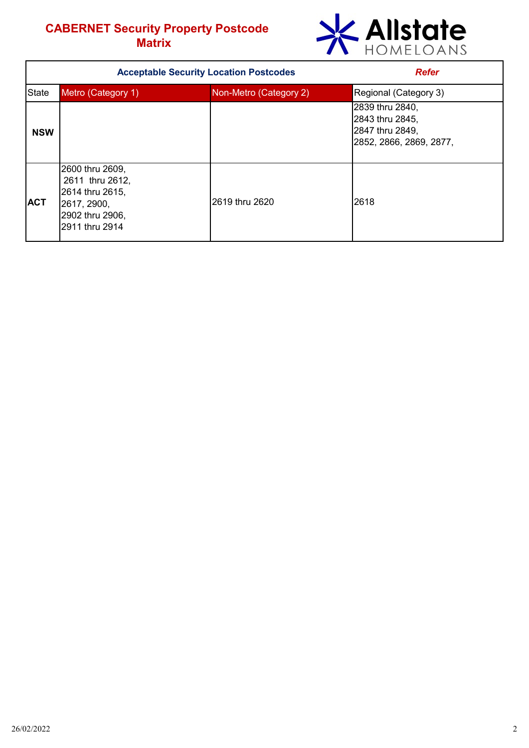

| <b>Acceptable Security Location Postcodes</b> |                                                                                                           |                        | <b>Refer</b>                                                                     |  |  |
|-----------------------------------------------|-----------------------------------------------------------------------------------------------------------|------------------------|----------------------------------------------------------------------------------|--|--|
| Metro (Category 1)<br><b>State</b>            |                                                                                                           | Non-Metro (Category 2) | Regional (Category 3)                                                            |  |  |
| <b>NSW</b>                                    |                                                                                                           |                        | 2839 thru 2840,<br>2843 thru 2845,<br>2847 thru 2849,<br>2852, 2866, 2869, 2877, |  |  |
| <b>ACT</b>                                    | 2600 thru 2609,<br>2611 thru 2612,<br>2614 thru 2615,<br>2617, 2900,<br>2902 thru 2906,<br>2911 thru 2914 | 2619 thru 2620         | 2618                                                                             |  |  |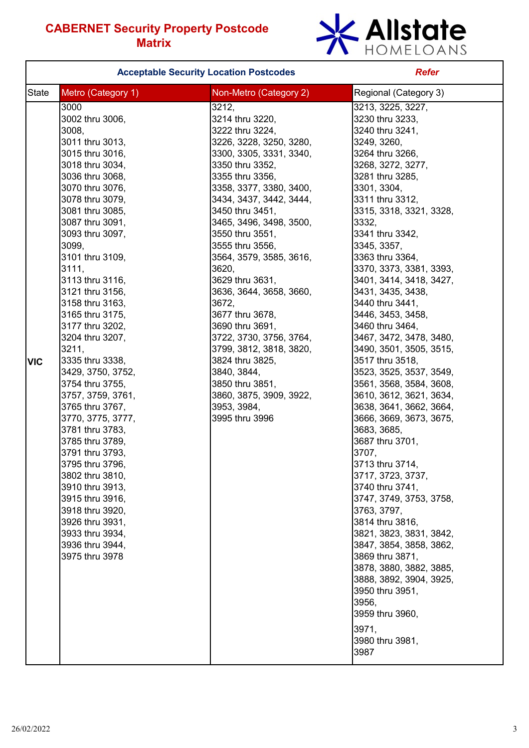

|              |                                                                                                                                                                                                                                                                                                                                                                                                                                                                                                                                                                                                                                                                                                                                        | <b>Acceptable Security Location Postcodes</b>                                                                                                                                                                                                                                                                                                                                                                                                                                                                                                                                             | <b>Refer</b>                                                                                                                                                                                                                                                                                                                                                                                                                                                                                                                                                                                                                                                                                                                                                                                                                                                                                                                                                                                    |  |
|--------------|----------------------------------------------------------------------------------------------------------------------------------------------------------------------------------------------------------------------------------------------------------------------------------------------------------------------------------------------------------------------------------------------------------------------------------------------------------------------------------------------------------------------------------------------------------------------------------------------------------------------------------------------------------------------------------------------------------------------------------------|-------------------------------------------------------------------------------------------------------------------------------------------------------------------------------------------------------------------------------------------------------------------------------------------------------------------------------------------------------------------------------------------------------------------------------------------------------------------------------------------------------------------------------------------------------------------------------------------|-------------------------------------------------------------------------------------------------------------------------------------------------------------------------------------------------------------------------------------------------------------------------------------------------------------------------------------------------------------------------------------------------------------------------------------------------------------------------------------------------------------------------------------------------------------------------------------------------------------------------------------------------------------------------------------------------------------------------------------------------------------------------------------------------------------------------------------------------------------------------------------------------------------------------------------------------------------------------------------------------|--|
| <b>State</b> | Metro (Category 1)                                                                                                                                                                                                                                                                                                                                                                                                                                                                                                                                                                                                                                                                                                                     | Non-Metro (Category 2)                                                                                                                                                                                                                                                                                                                                                                                                                                                                                                                                                                    | Regional (Category 3)                                                                                                                                                                                                                                                                                                                                                                                                                                                                                                                                                                                                                                                                                                                                                                                                                                                                                                                                                                           |  |
| <b>VIC</b>   | 3000<br>3002 thru 3006,<br>3008,<br>3011 thru 3013,<br>3015 thru 3016,<br>3018 thru 3034,<br>3036 thru 3068,<br>3070 thru 3076,<br>3078 thru 3079,<br>3081 thru 3085,<br>3087 thru 3091,<br>3093 thru 3097,<br>3099,<br>3101 thru 3109,<br>3111,<br>3113 thru 3116,<br>3121 thru 3156,<br>3158 thru 3163,<br>3165 thru 3175,<br>3177 thru 3202,<br>3204 thru 3207,<br>3211,<br>3335 thru 3338,<br>3429, 3750, 3752,<br>3754 thru 3755,<br>3757, 3759, 3761,<br>3765 thru 3767,<br>3770, 3775, 3777,<br>3781 thru 3783,<br>3785 thru 3789,<br>3791 thru 3793,<br>3795 thru 3796,<br>3802 thru 3810,<br>3910 thru 3913,<br>3915 thru 3916,<br>3918 thru 3920,<br>3926 thru 3931,<br>3933 thru 3934,<br>3936 thru 3944,<br>3975 thru 3978 | 3212,<br>3214 thru 3220,<br>3222 thru 3224,<br>3226, 3228, 3250, 3280,<br>3300, 3305, 3331, 3340,<br>3350 thru 3352,<br>3355 thru 3356,<br>3358, 3377, 3380, 3400,<br>3434, 3437, 3442, 3444,<br>3450 thru 3451,<br>3465, 3496, 3498, 3500,<br>3550 thru 3551,<br>3555 thru 3556,<br>3564, 3579, 3585, 3616,<br>3620,<br>3629 thru 3631,<br>3636, 3644, 3658, 3660,<br>3672,<br>3677 thru 3678,<br>3690 thru 3691,<br>3722, 3730, 3756, 3764,<br>3799, 3812, 3818, 3820,<br>3824 thru 3825,<br>3840, 3844,<br>3850 thru 3851,<br>3860, 3875, 3909, 3922,<br>3953, 3984,<br>3995 thru 3996 | 3213, 3225, 3227,<br>3230 thru 3233,<br>3240 thru 3241,<br>3249, 3260,<br>3264 thru 3266,<br>3268, 3272, 3277,<br>3281 thru 3285,<br>3301, 3304,<br>3311 thru 3312,<br>3315, 3318, 3321, 3328,<br>3332,<br>3341 thru 3342,<br>3345, 3357,<br>3363 thru 3364,<br>3370, 3373, 3381, 3393,<br>3401, 3414, 3418, 3427,<br>3431, 3435, 3438,<br>3440 thru 3441.<br>3446, 3453, 3458,<br>3460 thru 3464,<br>3467, 3472, 3478, 3480,<br>3490, 3501, 3505, 3515,<br>3517 thru 3518,<br>3523, 3525, 3537, 3549,<br>3561, 3568, 3584, 3608,<br>3610, 3612, 3621, 3634,<br>3638, 3641, 3662, 3664,<br>3666, 3669, 3673, 3675,<br>3683, 3685,<br>3687 thru 3701,<br>3707,<br>3713 thru 3714,<br>3717, 3723, 3737,<br>3740 thru 3741,<br>3747, 3749, 3753, 3758,<br>3763, 3797,<br>3814 thru 3816,<br>3821, 3823, 3831, 3842,<br>3847, 3854, 3858, 3862,<br>3869 thru 3871,<br>3878, 3880, 3882, 3885,<br>3888, 3892, 3904, 3925,<br>3950 thru 3951,<br>3956,<br>3959 thru 3960,<br>3971,<br>3980 thru 3981, |  |
|              |                                                                                                                                                                                                                                                                                                                                                                                                                                                                                                                                                                                                                                                                                                                                        |                                                                                                                                                                                                                                                                                                                                                                                                                                                                                                                                                                                           | 3987                                                                                                                                                                                                                                                                                                                                                                                                                                                                                                                                                                                                                                                                                                                                                                                                                                                                                                                                                                                            |  |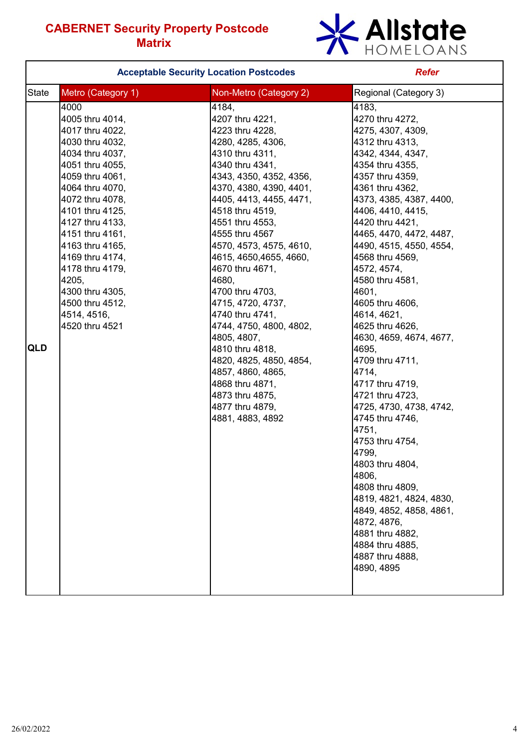

|       |                                                                                                                                                                                                                                                                                                                                                                | <b>Acceptable Security Location Postcodes</b>                                                                                                                                                                                                                                                                                                                                                                                                                                                                                                                                          | <b>Refer</b>                                                                                                                                                                                                                                                                                                                                                                                                                                                                                                                                                                                                                                                                                                                                                                   |  |
|-------|----------------------------------------------------------------------------------------------------------------------------------------------------------------------------------------------------------------------------------------------------------------------------------------------------------------------------------------------------------------|----------------------------------------------------------------------------------------------------------------------------------------------------------------------------------------------------------------------------------------------------------------------------------------------------------------------------------------------------------------------------------------------------------------------------------------------------------------------------------------------------------------------------------------------------------------------------------------|--------------------------------------------------------------------------------------------------------------------------------------------------------------------------------------------------------------------------------------------------------------------------------------------------------------------------------------------------------------------------------------------------------------------------------------------------------------------------------------------------------------------------------------------------------------------------------------------------------------------------------------------------------------------------------------------------------------------------------------------------------------------------------|--|
| State | Metro (Category 1)<br>Non-Metro (Category 2)                                                                                                                                                                                                                                                                                                                   |                                                                                                                                                                                                                                                                                                                                                                                                                                                                                                                                                                                        | Regional (Category 3)                                                                                                                                                                                                                                                                                                                                                                                                                                                                                                                                                                                                                                                                                                                                                          |  |
| QLD   | 4000<br>4005 thru 4014,<br>4017 thru 4022,<br>4030 thru 4032,<br>4034 thru 4037,<br>4051 thru 4055,<br>4059 thru 4061,<br>4064 thru 4070,<br>4072 thru 4078,<br>4101 thru 4125,<br>4127 thru 4133,<br>4151 thru 4161,<br>4163 thru 4165,<br>4169 thru 4174,<br>4178 thru 4179,<br>4205.<br>4300 thru 4305,<br>4500 thru 4512,<br>4514, 4516,<br>4520 thru 4521 | 4184,<br>4207 thru 4221,<br>4223 thru 4228,<br>4280, 4285, 4306,<br>4310 thru 4311,<br>4340 thru 4341,<br>4343, 4350, 4352, 4356,<br>4370, 4380, 4390, 4401,<br>4405, 4413, 4455, 4471,<br>4518 thru 4519,<br>4551 thru 4553,<br>4555 thru 4567<br>4570, 4573, 4575, 4610,<br>4615, 4650, 4655, 4660,<br>4670 thru 4671,<br>4680,<br>4700 thru 4703,<br>4715, 4720, 4737,<br>4740 thru 4741,<br>4744, 4750, 4800, 4802,<br>4805, 4807,<br>4810 thru 4818,<br>4820, 4825, 4850, 4854,<br>4857, 4860, 4865,<br>4868 thru 4871,<br>4873 thru 4875,<br>4877 thru 4879,<br>4881, 4883, 4892 | 4183,<br>4270 thru 4272,<br>4275, 4307, 4309,<br>4312 thru 4313,<br>4342, 4344, 4347,<br>4354 thru 4355,<br>4357 thru 4359,<br>4361 thru 4362,<br>4373, 4385, 4387, 4400,<br>4406, 4410, 4415,<br>4420 thru 4421,<br>4465, 4470, 4472, 4487,<br>4490, 4515, 4550, 4554,<br>4568 thru 4569,<br>4572, 4574,<br>4580 thru 4581,<br>4601,<br>4605 thru 4606,<br>4614, 4621,<br>4625 thru 4626,<br>4630, 4659, 4674, 4677,<br>4695,<br>4709 thru 4711,<br>4714,<br>4717 thru 4719,<br>4721 thru 4723,<br>4725, 4730, 4738, 4742,<br>4745 thru 4746,<br>4751,<br>4753 thru 4754,<br>4799,<br>4803 thru 4804,<br>4806,<br>4808 thru 4809,<br>4819, 4821, 4824, 4830,<br>4849, 4852, 4858, 4861,<br>4872, 4876,<br>4881 thru 4882,<br>4884 thru 4885,<br>4887 thru 4888,<br>4890, 4895 |  |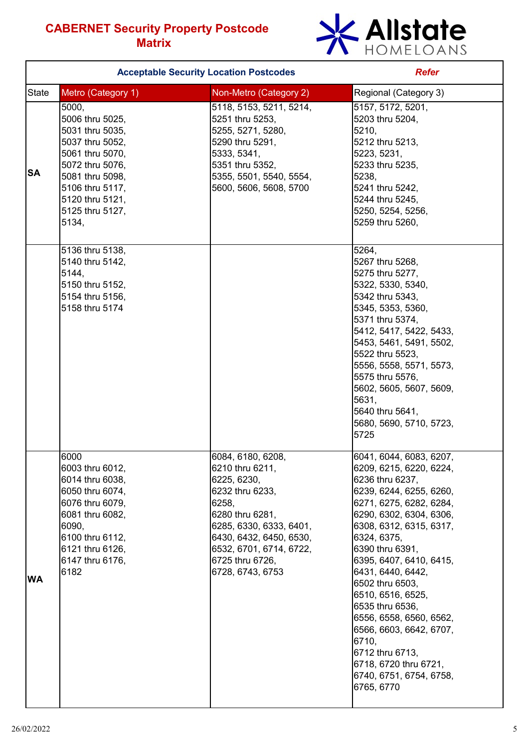

|              | <b>Acceptable Security Location Postcodes</b>                                                                                                                                                                                                                                                                                                                          | <b>Refer</b>                                                                                                                                                                                                               |                                                                                                                                                                                                                                                                                                                                                                                                                                                                                    |  |  |
|--------------|------------------------------------------------------------------------------------------------------------------------------------------------------------------------------------------------------------------------------------------------------------------------------------------------------------------------------------------------------------------------|----------------------------------------------------------------------------------------------------------------------------------------------------------------------------------------------------------------------------|------------------------------------------------------------------------------------------------------------------------------------------------------------------------------------------------------------------------------------------------------------------------------------------------------------------------------------------------------------------------------------------------------------------------------------------------------------------------------------|--|--|
| <b>State</b> | Metro (Category 1)                                                                                                                                                                                                                                                                                                                                                     | Non-Metro (Category 2)                                                                                                                                                                                                     | Regional (Category 3)                                                                                                                                                                                                                                                                                                                                                                                                                                                              |  |  |
| <b>SA</b>    | 5000,<br>5118, 5153, 5211, 5214,<br>5006 thru 5025,<br>5251 thru 5253,<br>5031 thru 5035,<br>5255, 5271, 5280,<br>5290 thru 5291,<br>5037 thru 5052,<br>5061 thru 5070,<br>5333, 5341,<br>5351 thru 5352,<br>5072 thru 5076,<br>5355, 5501, 5540, 5554,<br>5081 thru 5098,<br>5106 thru 5117,<br>5600, 5606, 5608, 5700<br>5120 thru 5121,<br>5125 thru 5127,<br>5134, |                                                                                                                                                                                                                            | 5157, 5172, 5201,<br>5203 thru 5204,<br>5210,<br>5212 thru 5213,<br>5223, 5231,<br>5233 thru 5235,<br>5238,<br>5241 thru 5242,<br>5244 thru 5245,<br>5250, 5254, 5256,<br>5259 thru 5260,                                                                                                                                                                                                                                                                                          |  |  |
|              | 5136 thru 5138,<br>5140 thru 5142,<br>5144,<br>5150 thru 5152,<br>5154 thru 5156,<br>5158 thru 5174                                                                                                                                                                                                                                                                    |                                                                                                                                                                                                                            | 5264.<br>5267 thru 5268,<br>5275 thru 5277,<br>5322, 5330, 5340,<br>5342 thru 5343,<br>5345, 5353, 5360,<br>5371 thru 5374.<br>5412, 5417, 5422, 5433,<br>5453, 5461, 5491, 5502,<br>5522 thru 5523,<br>5556, 5558, 5571, 5573,<br>5575 thru 5576,<br>5602, 5605, 5607, 5609,<br>5631,<br>5640 thru 5641,<br>5680, 5690, 5710, 5723,<br>5725                                                                                                                                       |  |  |
| <b>WA</b>    | 6000<br>6003 thru 6012,<br>6014 thru 6038,<br>6050 thru 6074,<br>6076 thru 6079,<br>6081 thru 6082,<br>6090,<br>6100 thru 6112,<br>6121 thru 6126,<br>6147 thru 6176,<br>6182                                                                                                                                                                                          | 6084, 6180, 6208,<br>6210 thru 6211,<br>6225, 6230,<br>6232 thru 6233,<br>6258,<br>6280 thru 6281,<br>6285, 6330, 6333, 6401,<br>6430, 6432, 6450, 6530,<br>6532, 6701, 6714, 6722,<br>6725 thru 6726,<br>6728, 6743, 6753 | 6041, 6044, 6083, 6207,<br>6209, 6215, 6220, 6224,<br>6236 thru 6237,<br>6239, 6244, 6255, 6260,<br>6271, 6275, 6282, 6284,<br>6290, 6302, 6304, 6306,<br>6308, 6312, 6315, 6317,<br>6324, 6375,<br>6390 thru 6391,<br>6395, 6407, 6410, 6415,<br>6431, 6440, 6442,<br>6502 thru 6503,<br>6510, 6516, 6525,<br>6535 thru 6536,<br>6556, 6558, 6560, 6562,<br>6566, 6603, 6642, 6707,<br>6710,<br>6712 thru 6713,<br>6718, 6720 thru 6721,<br>6740, 6751, 6754, 6758,<br>6765, 6770 |  |  |